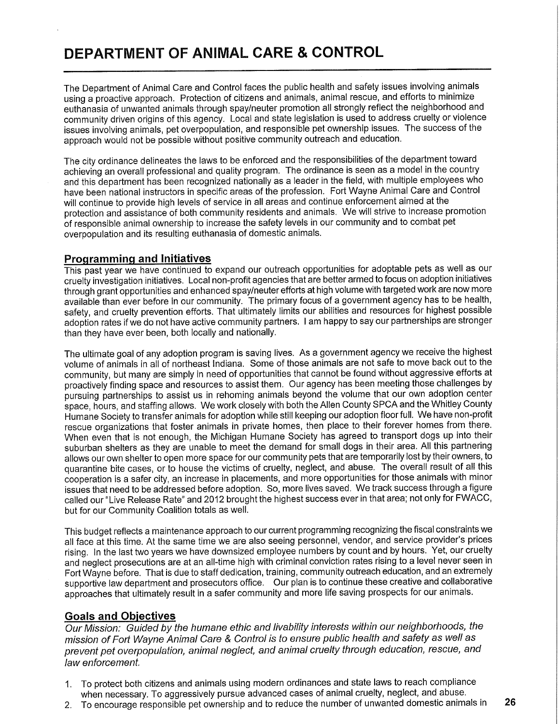# **DEPARTMENT OF ANIMAL CARE & CONTROL**

The Department of Animal Care and Control faces the public health and safety issues involving animals using a proactive approach. Protection of citizens and animals, animal rescue, and efforts to minimize euthanasia of unwanted animals through spay/neuter promotion all strongly reflect the neighborhood and community driven origins of this agency. Local and state legislation is used to address cruelty or violence issues involving animals, pet overpopulation, and responsible pet ownership issues. The success of the approach would not be possible without positive community outreach and education.

The city ordinance delineates the laws to be enforced and the responsibilities of the department toward achieving an overall professional and quality program. The ordinance is seen as a model in the country and this department has been recognized nationally as a leader in the field, with multiple employees who have been national instructors in specific areas of the profession. Fort Wayne Animal Care and Control will continue to provide high levels of service in all areas and continue enforcement aimed at the protection and assistance of both community residents and animals. We will strive to increase promotion of responsible animal ownership to increase the safety levels in our community and to combat pet overpopulation and its resulting euthanasia of domestic animals.

#### **Programming and Initiatives**

This past year we have continued to expand our outreach opportunities for adoptable pets as well as our cruelty investigation initiatives. Local non-profit agencies that are better armed to focus on adoption initiatives through grant opportunities and enhanced spay/neuter efforts at high volume with targeted work are now more available than ever before in our community. The primary focus of a government agency has to be health, safety, and cruelty prevention efforts. That ultimately limits our abilities and resources for highest possible adoption rates if we do not have active community partners. I am happy to say our partnerships are stronger than they have ever been, both locally and nationally.

The ultimate goal of any adoption program is saving lives. As a government agency we receive the highest volume of animals in all of northeast Indiana. Some of those animals are not safe to move back out to the community, but many are simply in need of opportunities that cannot be found without aggressive efforts at proactively finding space and resources to assist them. Our agency has been meeting those challenges by pursuing partnerships to assist us in rehoming animals beyond the volume that our own adoption center space, hours, and staffing allows. We work closely with both the Allen County SPCA and the Whitley County Humane Society to transfer animals for adoption while still keeping our adoption floor full. We have non-profit rescue organizations that foster animals in private homes, then place to their forever homes from there. When even that is not enough, the Michigan Humane Society has agreed to transport dogs up into their suburban shelters as they are unable to meet the demand for small dogs in their area. All this partnering allows our own shelter to open more space for our community pets that are temporarily lost by their owners, to quarantine bite cases, or to house the victims of cruelty, neglect, and abuse. The overall result of all this cooperation is a safer city, an increase in placements, and more opportunities for those animals with minor issues that need to be addressed before adoption. So, more lives saved. We track success through a figure called our "Live Release Rate" and 2012 brought the highest success ever in that area; not only for FWACC , but for our Community Coalition totals as well.

This budget reflects a maintenance approach to our current programming recognizing the fiscal constraints we all face at this time. At the same time we are also seeing personnel, vendor, and service provider's prices rising. In the last two years we have downsized employee numbers by count and by hours. Yet, our cruelty and neglect prosecutions are at an all-time high with criminal conviction rates rising to a level never seen in Fort Wayne before. That is due to staff dedication, training, community outreach education, and an extremely supportive law department and prosecutors office. Our plan is to continue these creative and collaborative approaches that ultimately result in a safer community and more life saving prospects for our animals.

#### **Goals and Objectives**

Our Mission: Guided by the humane ethic and livability interests within our neighborhoods, the mission of Fort Wayne Animal Care & Control is to ensure public health and safety as well as prevent pet overpopulation, animal neglect, and animal cruelty through education, rescue, and law enforcement.

- 1. To protect both citizens and animals using modern ordinances and state laws to reach compliance when necessary. To aggressively pursue advanced cases of animal cruelty, neglect, and abuse.
- 2. To encourage responsible pet ownership and to reduce the number of unwanted domestic animals in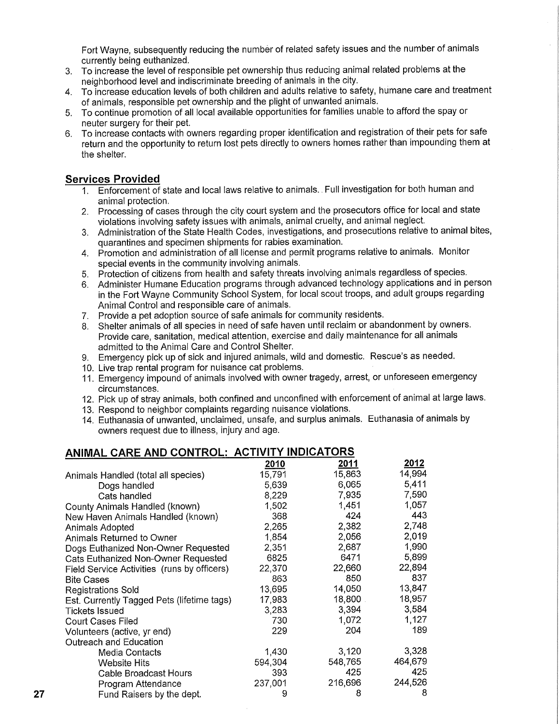Fort Wayne, subsequently reducing the number of related safety issues and the number of animals currently being euthanized.

- 3. To increase the level of responsible pet ownership thus reducing animal related problems at the neighborhood level and indiscriminate breeding of animals in the city.
- 4. To increase education levels of both children and adults relative to safety, humane care and treatment of animals, responsible pet ownership and the plight of unwanted animals.
- 5. To continue promotion of all local available opportunities for families unable to afford the spay or neuter surgery for their pet.
- 6. To increase contacts with owners regarding proper identification and registration of their pets for safe return and the opportunity to return lost pets directly to owners homes rather than impounding them at the shelter.

### **Services Provided**

- 1. Enforcement of state and local laws relative to animals.. Full investigation for both human and animal protection.
- 2. Processing of cases through the city court system and the prosecutors office for local and state violations involving safety issues with animals, animal cruelty, and animal neglect.
- 3. Administration of the State Health Codes, investigations, and prosecutions relative to animal bites, quarantines and specimen shipments for rabies examination.
- 4. Promotion and administration of all license and permit programs relative to animals. Monitor special events in the community involving animals.
- 5. Protection of citizens from health and safety threats involving animals regardless of species.
- 6. Administer Humane Education programs through advanced technology applications and in person in the Fort Wayne Community School System, for local scout troops, and adult groups regarding Animal Control and responsible care of animals.
- 7. Provide a pet adoption source of safe animals for community residents.
- 8. Shelter animals of all species in need of safe haven until reclaim or abandonment by owners. Provide care, sanitation, medical attention, exercise and daily maintenance for all animals admitted to the Animal Care and Control Shelter.
- 9. Emergency pick up of sick and injured animals, wild and domestic. Rescue's as needed.
- 10. Live trap rental program for nuisance cat problems.
- 11. Emergency impound of animals involved with owner tragedy, arrest, or unforeseen emergency circumstances.
- 12. Pick up of stray animals, both confined and unconfined with enforcement of animal at large laws.
- 13. Respond to neighbor complaints regarding nuisance violations.
- 14. Euthanasia of unwanted, unclaimed, unsafe, and surplus animals. Euthanasia of animals by owners request due to illness, injury and age.

| <u>ANIMAL CARE AND CONTROL: ACTIVITY INDICATORS</u> |         |         |               |  |  |  |
|-----------------------------------------------------|---------|---------|---------------|--|--|--|
|                                                     | 2010    | 2011    | <u> 2012 </u> |  |  |  |
| Animals Handled (total all species)                 | 15,791  | 15,863  | 14,994        |  |  |  |
| Dogs handled                                        | 5,639   | 6,065   | 5,411         |  |  |  |
| Cats handled                                        | 8,229   | 7,935   | 7,590         |  |  |  |
| County Animals Handled (known)                      | 1,502   | 1.451   | 1,057         |  |  |  |
| New Haven Animals Handled (known)                   | 368     | 424     | 443           |  |  |  |
| Animals Adopted                                     | 2,265   | 2,382   | 2,748         |  |  |  |
| Animals Returned to Owner                           | 1,854   | 2,056   | 2,019         |  |  |  |
| Dogs Euthanized Non-Owner Requested                 | 2,351   | 2,687   | 1,990         |  |  |  |
| Cats Euthanized Non-Owner Requested                 | 6825    | 6471    | 5,899         |  |  |  |
| Field Service Activities (runs by officers)         | 22,370  | 22,660  | 22,894        |  |  |  |
| <b>Bite Cases</b>                                   | 863     | 850     | 837           |  |  |  |
| <b>Registrations Sold</b>                           | 13,695  | 14,050  | 13,847        |  |  |  |
| Est. Currently Tagged Pets (lifetime tags)          | 17,983  | 18,800  | 18,957        |  |  |  |
| <b>Tickets Issued</b>                               | 3,283   | 3,394   | 3,584         |  |  |  |
| <b>Court Cases Filed</b>                            | 730     | 1,072   | 1,127         |  |  |  |
| Volunteers (active, yr end)                         | 229     | 204     | 189           |  |  |  |
| Outreach and Education                              |         |         |               |  |  |  |
| Media Contacts                                      | 1,430   | 3,120   | 3,328         |  |  |  |
| <b>Website Hits</b>                                 | 594,304 | 548,765 | 464,679       |  |  |  |
| Cable Broadcast Hours                               | 393     | 425     | 425           |  |  |  |
| Program Attendance                                  | 237,001 | 216,696 | 244,526       |  |  |  |
| Fund Raisers by the dept.                           | 9       | 8       | 8             |  |  |  |

## **ANIMAL CARE AND CONTROL: ACTIVITY INDICATORS**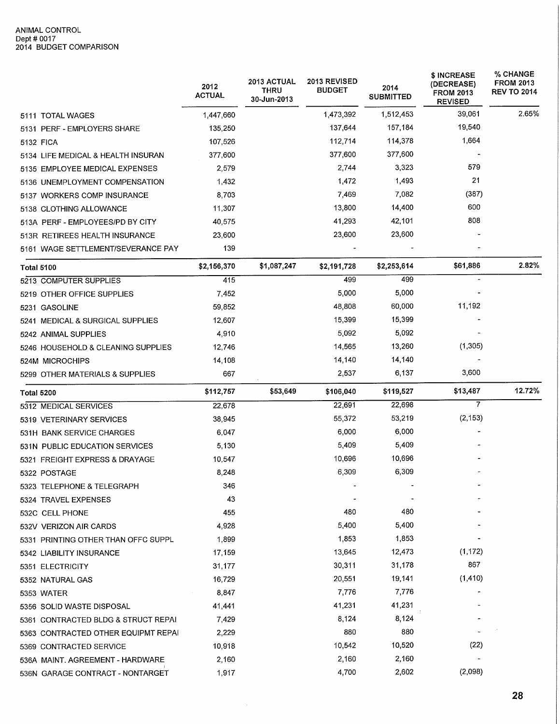|                                     | 2012<br><b>ACTUAL</b> | <b>2013 ACTUAL</b><br><b>THRU</b><br>30-Jun-2013 | 2013 REVISED<br><b>BUDGET</b> | 2014<br><b>SUBMITTED</b> | \$ INCREASE<br>(DECREASE)<br><b>FROM 2013</b><br><b>REVISED</b> | % CHANGE<br><b>FROM 2013</b><br><b>REV TO 2014</b> |
|-------------------------------------|-----------------------|--------------------------------------------------|-------------------------------|--------------------------|-----------------------------------------------------------------|----------------------------------------------------|
| 5111 TOTAL WAGES                    | 1,447,660             |                                                  | 1,473,392                     | 1,512,453                | 39,061                                                          | 2.65%                                              |
| 5131 PERF - EMPLOYERS SHARE         | 135,250               |                                                  | 137,644                       | 157,184                  | 19,540                                                          |                                                    |
| 5132 FICA                           | 107,526               |                                                  | 112,714                       | 114,378                  | 1,664                                                           |                                                    |
| 5134 LIFE MEDICAL & HEALTH INSURAN  | 377,600               |                                                  | 377,600                       | 377,600                  |                                                                 |                                                    |
| 5135 EMPLOYEE MEDICAL EXPENSES      | 2,579                 |                                                  | 2,744                         | 3,323                    | 579                                                             |                                                    |
| 5136 UNEMPLOYMENT COMPENSATION      | 1,432                 |                                                  | 1,472                         | 1,493                    | 21                                                              |                                                    |
| 5137 WORKERS COMP INSURANCE         | 8,703                 |                                                  | 7,469                         | 7,082                    | (387)                                                           |                                                    |
| 5138 CLOTHING ALLOWANCE             | 11,307                |                                                  | 13,800                        | 14,400                   | 600                                                             |                                                    |
| 513A PERF - EMPLOYEES/PD BY CITY    | 40,575                |                                                  | 41,293                        | 42,101                   | 808                                                             |                                                    |
| 513R RETIREES HEALTH INSURANCE      | 23,600                |                                                  | 23,600                        | 23,600                   |                                                                 |                                                    |
| 5161 WAGE SETTLEMENT/SEVERANCE PAY  | 139                   |                                                  |                               |                          |                                                                 |                                                    |
| <b>Total 5100</b>                   | \$2,156,370           | \$1,087,247                                      | \$2,191,728                   | \$2,253,614              | \$61,886                                                        | 2.82%                                              |
| 5213 COMPUTER SUPPLIES              | 415                   |                                                  | 499                           | 499                      |                                                                 |                                                    |
| 5219 OTHER OFFICE SUPPLIES          | 7,452                 |                                                  | 5,000                         | 5,000                    |                                                                 |                                                    |
| 5231 GASOLINE                       | 59,852                |                                                  | 48,808                        | 60,000                   | 11,192                                                          |                                                    |
| 5241 MEDICAL & SURGICAL SUPPLIES    | 12,607                |                                                  | 15,399                        | 15,399                   |                                                                 |                                                    |
| 5242 ANIMAL SUPPLIES                | 4,910                 |                                                  | 5,092                         | 5,092                    |                                                                 |                                                    |
| 5246 HOUSEHOLD & CLEANING SUPPLIES  | 12,746                |                                                  | 14,565                        | 13,260                   | (1, 305)                                                        |                                                    |
| 524M MICROCHIPS                     | 14,108                |                                                  | 14,140                        | 14,140                   |                                                                 |                                                    |
| 5299 OTHER MATERIALS & SUPPLIES     | 667                   |                                                  | 2,537                         | 6,137                    | 3,600                                                           |                                                    |
| <b>Total 5200</b>                   | \$112,757             | \$53,649                                         | \$106,040                     | \$119,527                | \$13,487                                                        | 12.72%                                             |
| 5312 MEDICAL SERVICES               | 22,678                |                                                  | 22,691                        | 22,698                   | $\overline{7}$                                                  |                                                    |
| 5319 VETERINARY SERVICES            | 38,945                |                                                  | 55,372                        | 53,219                   | (2, 153)                                                        |                                                    |
| 531H BANK SERVICE CHARGES           | 6,047                 |                                                  | 6,000                         | 6,000                    |                                                                 |                                                    |
| 531N PUBLIC EDUCATION SERVICES      | 5,130                 |                                                  | 5,409                         | 5,409                    |                                                                 |                                                    |
| 5321 FREIGHT EXPRESS & DRAYAGE      | 10,547                |                                                  | 10,696                        | 10,696                   |                                                                 |                                                    |
| 5322 POSTAGE                        | 8,248                 |                                                  | 6,309                         | 6,309                    |                                                                 |                                                    |
| 5323 TELEPHONE & TELEGRAPH          | 346                   |                                                  |                               |                          |                                                                 |                                                    |
| 5324 TRAVEL EXPENSES                | 43                    |                                                  |                               |                          |                                                                 |                                                    |
| 532C CELL PHONE                     | 455                   |                                                  | 480                           | 480                      |                                                                 |                                                    |
| 532V VERIZON AIR CARDS              | 4,928                 |                                                  | 5,400                         | 5,400                    |                                                                 |                                                    |
| 5331 PRINTING OTHER THAN OFFC SUPPL | 1,899                 |                                                  | 1,853                         | 1,853                    |                                                                 |                                                    |
| 5342 LIABILITY INSURANCE            | 17,159                |                                                  | 13,645                        | 12,473                   | (1, 172)                                                        |                                                    |
| 5351 ELECTRICITY                    | 31,177                |                                                  | 30,311                        | 31,178                   | 867                                                             |                                                    |
| 5352 NATURAL GAS                    | 16,729                |                                                  | 20,551                        | 19,141                   | (1, 410)                                                        |                                                    |
| 5353 WATER                          | 8,847                 |                                                  | 7,776                         | 7,776                    |                                                                 |                                                    |
| 5356 SOLID WASTE DISPOSAL           | 41,441                |                                                  | 41,231                        | 41,231                   |                                                                 |                                                    |
| 5361 CONTRACTED BLDG & STRUCT REPAI | 7,429                 |                                                  | 8,124                         | 8,124                    |                                                                 |                                                    |
| 5363 CONTRACTED OTHER EQUIPMT REPAI | 2,229                 |                                                  | 880                           | 880                      |                                                                 |                                                    |
| 5369 CONTRACTED SERVICE             | 10,918                |                                                  | 10,542                        | 10,520                   | (22)                                                            |                                                    |
| 536A MAINT. AGREEMENT - HARDWARE    | 2,160                 |                                                  | 2,160                         | 2,160                    |                                                                 |                                                    |
| 536N GARAGE CONTRACT - NONTARGET    | 1,917                 |                                                  | 4,700                         | 2,602                    | (2,098)                                                         |                                                    |

 $\sim$